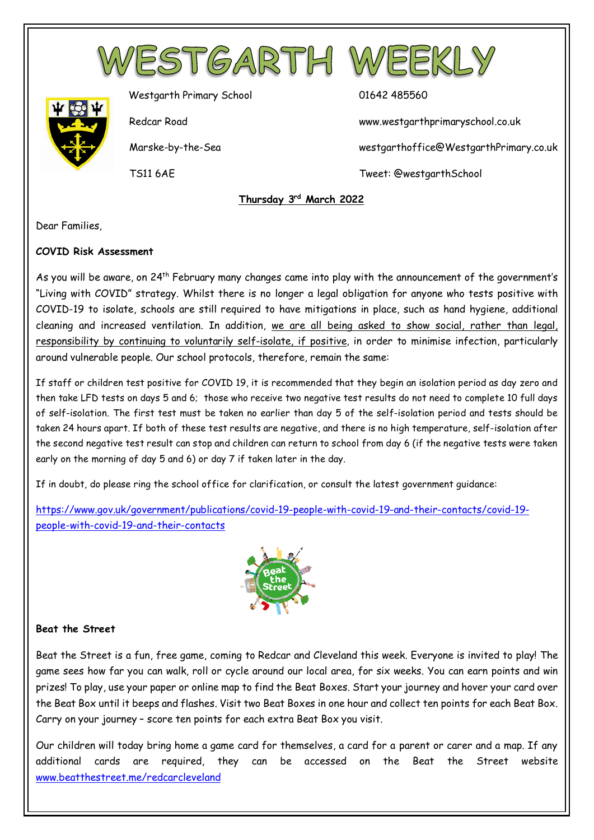



Westgarth Primary School 01642 485560

Redcar Road www.westgarthprimaryschool.co.uk

Marske-by-the-Sea westgarthoffice@WestgarthPrimary.co.uk

TS11 6AE Tweet: @westgarthSchool

 **Thursday 3rd March 2022**

Dear Families,

#### **COVID Risk Assessment**

As you will be aware, on 24<sup>th</sup> February many changes came into play with the announcement of the government's "Living with COVID" strategy. Whilst there is no longer a legal obligation for anyone who tests positive with COVID-19 to isolate, schools are still required to have mitigations in place, such as hand hygiene, additional cleaning and increased ventilation. In addition, we are all being asked to show social, rather than legal, responsibility by continuing to voluntarily self-isolate, if positive, in order to minimise infection, particularly around vulnerable people. Our school protocols, therefore, remain the same:

If staff or children test positive for COVID 19, it is recommended that they begin an isolation period as day zero and then take LFD tests on days 5 and 6; those who receive two negative test results do not need to complete 10 full days of self-isolation. The first test must be taken no earlier than day 5 of the self-isolation period and tests should be taken 24 hours apart. If both of these test results are negative, and there is no high temperature, self-isolation after the second negative test result can stop and children can return to school from day 6 (if the negative tests were taken early on the morning of day 5 and 6) or day 7 if taken later in the day.

If in doubt, do please ring the school office for clarification, or consult the latest government guidance:

[https://www.gov.uk/government/publications/covid-19-people-with-covid-19-and-their-contacts/covid-19](https://www.gov.uk/government/publications/covid-19-people-with-covid-19-and-their-contacts/covid-19-people-with-covid-19-and-their-contacts) [people-with-covid-19-and-their-contacts](https://www.gov.uk/government/publications/covid-19-people-with-covid-19-and-their-contacts/covid-19-people-with-covid-19-and-their-contacts)



#### **Beat the Street**

Beat the Street is a fun, free game, coming to Redcar and Cleveland this week. Everyone is invited to play! The game sees how far you can walk, roll or cycle around our local area, for six weeks. You can earn points and win prizes! To play, use your paper or online map to find the Beat Boxes. Start your journey and hover your card over the Beat Box until it beeps and flashes. Visit two Beat Boxes in one hour and collect ten points for each Beat Box. Carry on your journey – score ten points for each extra Beat Box you visit.

Our children will today bring home a game card for themselves, a card for a parent or carer and a map. If any additional cards are required, they can be accessed on the Beat the Street website [www.beatthestreet.me/redcarcleveland](http://www.beatthestreet.me/redcarcleveland)